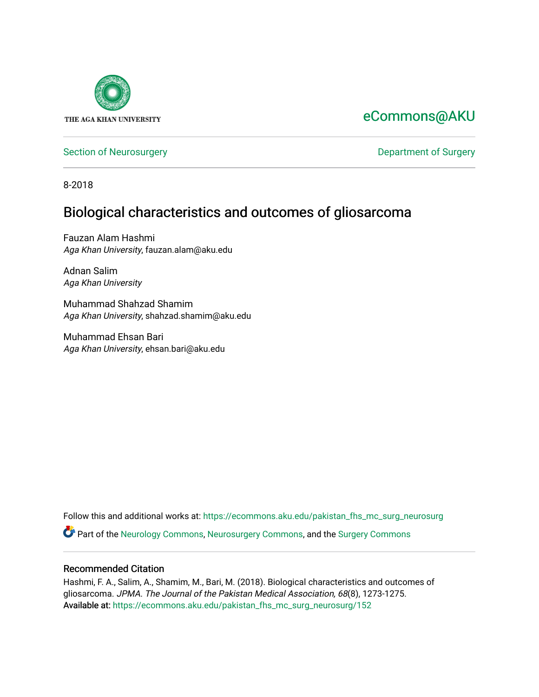

# [eCommons@AKU](https://ecommons.aku.edu/)

[Section of Neurosurgery](https://ecommons.aku.edu/pakistan_fhs_mc_surg_neurosurg) **Department of Surgery** Department of Surgery

8-2018

## Biological characteristics and outcomes of gliosarcoma

Fauzan Alam Hashmi Aga Khan University, fauzan.alam@aku.edu

Adnan Salim Aga Khan University

Muhammad Shahzad Shamim Aga Khan University, shahzad.shamim@aku.edu

Muhammad Ehsan Bari Aga Khan University, ehsan.bari@aku.edu

Follow this and additional works at: [https://ecommons.aku.edu/pakistan\\_fhs\\_mc\\_surg\\_neurosurg](https://ecommons.aku.edu/pakistan_fhs_mc_surg_neurosurg?utm_source=ecommons.aku.edu%2Fpakistan_fhs_mc_surg_neurosurg%2F152&utm_medium=PDF&utm_campaign=PDFCoverPages)  Part of the [Neurology Commons](http://network.bepress.com/hgg/discipline/692?utm_source=ecommons.aku.edu%2Fpakistan_fhs_mc_surg_neurosurg%2F152&utm_medium=PDF&utm_campaign=PDFCoverPages), [Neurosurgery Commons](http://network.bepress.com/hgg/discipline/1428?utm_source=ecommons.aku.edu%2Fpakistan_fhs_mc_surg_neurosurg%2F152&utm_medium=PDF&utm_campaign=PDFCoverPages), and the [Surgery Commons](http://network.bepress.com/hgg/discipline/706?utm_source=ecommons.aku.edu%2Fpakistan_fhs_mc_surg_neurosurg%2F152&utm_medium=PDF&utm_campaign=PDFCoverPages) 

### Recommended Citation

Hashmi, F. A., Salim, A., Shamim, M., Bari, M. (2018). Biological characteristics and outcomes of gliosarcoma. JPMA. The Journal of the Pakistan Medical Association, 68(8), 1273-1275. Available at: [https://ecommons.aku.edu/pakistan\\_fhs\\_mc\\_surg\\_neurosurg/152](https://ecommons.aku.edu/pakistan_fhs_mc_surg_neurosurg/152)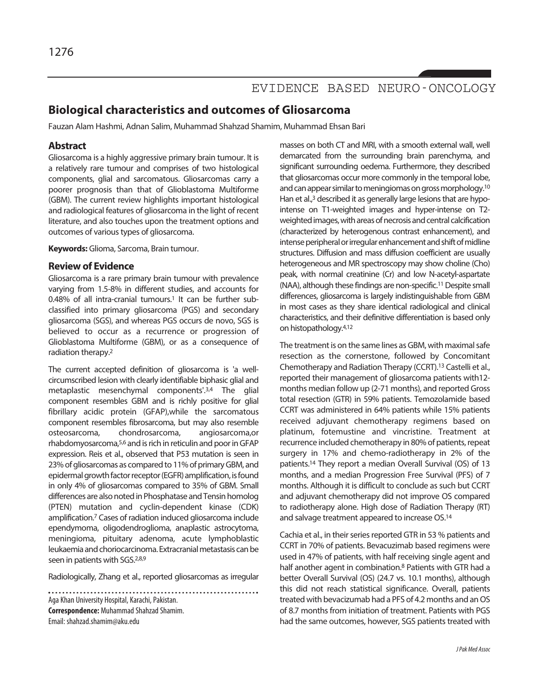## EVIDENCE BASED NEURO-ONCOLOGY

### **Biological characteristics and outcomes of Gliosarcoma**

Fauzan Alam Hashmi, Adnan Salim, Muhammad Shahzad Shamim, Muhammad Ehsan Bari

### **Abstract**

Gliosarcoma is a highly aggressive primary brain tumour. It is a relatively rare tumour and comprises of two histological components, glial and sarcomatous. Gliosarcomas carry a poorer prognosis than that of Glioblastoma Multiforme (GBM). The current review highlights important histological and radiological features of gliosarcoma in the light of recent literature, and also touches upon the treatment options and outcomes of various types of gliosarcoma.

**Keywords:** Glioma, Sarcoma, Brain tumour.

### **Review of Evidence**

Gliosarcoma is a rare primary brain tumour with prevalence varying from 1.5-8% in different studies, and accounts for 0.48% of all intra-cranial tumours. <sup>1</sup> It can be further subclassified into primary gliosarcoma (PGS) and secondary gliosarcoma (SGS), and whereas PGS occurs de novo, SGS is believed to occur as a recurrence or progression of Glioblastoma Multiforme (GBM), or as a consequence of radiation therapy. 2

The current accepted definition of gliosarcoma is 'a wellcircumscribed lesion with clearly identifiable biphasic glial and metaplastic mesenchymal components'. 3,4 The glial component resembles GBM and is richly positive for glial fibrillary acidic protein (GFAP),while the sarcomatous component resembles fibrosarcoma, but may also resemble osteosarcoma, chondrosarcoma, angiosarcoma,or rhabdomyosarcoma,<sup>5,6</sup> and is rich in reticulin and poor in GFAP expression. Reis et al., observed that P53 mutation is seen in 23% of gliosarcomas as compared to 11% of primary GBM, and epidermal growth factor receptor (EGFR) amplification, is found in only 4% of gliosarcomas compared to 35% of GBM. Small differences are also noted in Phosphatase and Tensin homolog (PTEN) mutation and cyclin-dependent kinase (CDK) amplification. <sup>7</sup> Cases of radiation induced gliosarcoma include ependymoma, oligodendroglioma, anaplastic astrocytoma, meningioma, pituitary adenoma, acute lymphoblastic leukaemia and choriocarcinoma. Extracranial metastasis can be seen in patients with SGS.<sup>2,8,9</sup>

Radiologically, Zhang et al., reported gliosarcomas as irregular

Aga Khan University Hospital, Karachi, Pakistan. **Correspondence: Muhammad Shahzad Shamim.** Email: shahzad.shamim@aku.edu

masses on both CT and MRI, with a smooth external wall, well demarcated from the surrounding brain parenchyma, and significant surrounding oedema. Furthermore, they described that gliosarcomas occur more commonly in the temporal lobe, and can appear similar to meningiomas on gross morphology.<sup>10</sup> Han et al.,<sup>3</sup> described it as generally large lesions that are hypointense on T1-weighted images and hyper-intense on T2 weighted images, with areas of necrosis and central calcification (characterized by heterogenous contrast enhancement), and intense peripheral or irregular enhancement and shift of midline structures. Diffusion and mass diffusion coefficient are usually heterogeneous and MR spectroscopy may show choline (Cho) peak, with normal creatinine (Cr) and low N-acetyl-aspartate (NAA), although these findings are non-specific. 11Despite small differences, gliosarcoma is largely indistinguishable from GBM in most cases as they share identical radiological and clinical characteristics, and their definitive differentiation is based only on histopathology. 4,12

The treatment is on the same lines as GBM, with maximal safe resection as the cornerstone, followed by Concomitant Chemotherapy and Radiation Therapy (CCRT). <sup>13</sup> Castelli et al., reported their management of gliosarcoma patients with12 months median follow up (2-71 months), and reported Gross total resection (GTR) in 59% patients. Temozolamide based CCRT was administered in 64% patients while 15% patients received adjuvant chemotherapy regimens based on platinum, fotemustine and vincristine. Treatment at recurrence included chemotherapy in 80% of patients, repeat surgery in 17% and chemo-radiotherapy in 2% of the patients. <sup>14</sup> They report a median Overall Survival (OS) of 13 months, and a median Progression Free Survival (PFS) of 7 months. Although it is difficult to conclude as such but CCRT and adjuvant chemotherapy did not improve OS compared to radiotherapy alone. High dose of Radiation Therapy (RT) and salvage treatment appeared to increase OS. 14

Cachia et al., in their series reported GTR in 53 % patients and CCRT in 70% of patients. Bevacuzimab based regimens were used in 47% of patients, with half receiving single agent and half another agent in combination. <sup>8</sup> Patients with GTR had a better Overall Survival (OS) (24.7 vs. 10.1 months), although this did not reach statistical significance. Overall, patients treated with bevacizumab had a PFS of 4.2 months and an OS of 8.7 months from initiation of treatment. Patients with PGS had the same outcomes, however, SGS patients treated with